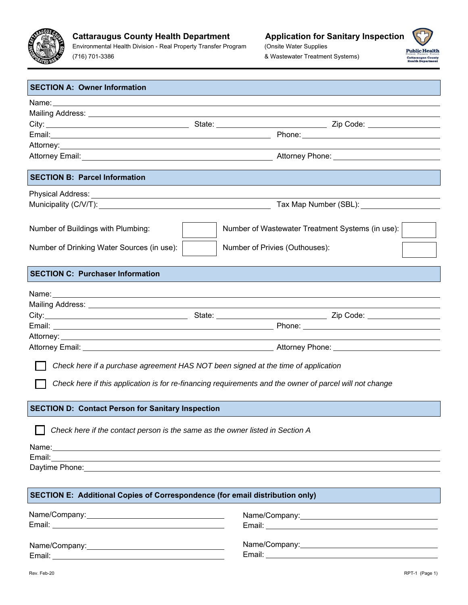

(716) 701-3386

(Onsite Water Supplies & Wastewater Treatment Systems)



| <b>SECTION A: Owner Information</b>                                                                                                                                                                                           |                                                                                                                       |  |  |  |  |
|-------------------------------------------------------------------------------------------------------------------------------------------------------------------------------------------------------------------------------|-----------------------------------------------------------------------------------------------------------------------|--|--|--|--|
| Name: Name: Name: Name: Name: Name: Name: Name: Name: Name: Name: Name: Name: Name: Name: Name: Name: Name: Name: Name: Name: Name: Name: Name: Name: Name: Name: Name: Name: Name: Name: Name: Name: Name: Name: Name: Name: |                                                                                                                       |  |  |  |  |
|                                                                                                                                                                                                                               |                                                                                                                       |  |  |  |  |
|                                                                                                                                                                                                                               |                                                                                                                       |  |  |  |  |
|                                                                                                                                                                                                                               |                                                                                                                       |  |  |  |  |
| Attorney: <u>Attorney:</u>                                                                                                                                                                                                    | <u> 1989 - Johann Stein, marwolaethau a bhann an t-Albann an t-Albann an t-Albann an t-Albann an t-Albann an t-Al</u> |  |  |  |  |
|                                                                                                                                                                                                                               |                                                                                                                       |  |  |  |  |
| <b>SECTION B: Parcel Information</b>                                                                                                                                                                                          |                                                                                                                       |  |  |  |  |
|                                                                                                                                                                                                                               |                                                                                                                       |  |  |  |  |
|                                                                                                                                                                                                                               |                                                                                                                       |  |  |  |  |
|                                                                                                                                                                                                                               |                                                                                                                       |  |  |  |  |
| Number of Buildings with Plumbing:                                                                                                                                                                                            | Number of Wastewater Treatment Systems (in use):                                                                      |  |  |  |  |
| Number of Drinking Water Sources (in use):                                                                                                                                                                                    | Number of Privies (Outhouses):                                                                                        |  |  |  |  |
| <b>SECTION C: Purchaser Information</b>                                                                                                                                                                                       |                                                                                                                       |  |  |  |  |
| Name: Name: Name: Name: Name: Name: Name: Name: Name: Name: Name: Name: Name: Name: Name: Name: Name: Name: Name: Name: Name: Name: Name: Name: Name: Name: Name: Name: Name: Name: Name: Name: Name: Name: Name: Name: Name: |                                                                                                                       |  |  |  |  |
|                                                                                                                                                                                                                               |                                                                                                                       |  |  |  |  |
|                                                                                                                                                                                                                               |                                                                                                                       |  |  |  |  |
|                                                                                                                                                                                                                               |                                                                                                                       |  |  |  |  |
|                                                                                                                                                                                                                               |                                                                                                                       |  |  |  |  |
|                                                                                                                                                                                                                               |                                                                                                                       |  |  |  |  |
| Check here if a purchase agreement HAS NOT been signed at the time of application                                                                                                                                             |                                                                                                                       |  |  |  |  |
|                                                                                                                                                                                                                               |                                                                                                                       |  |  |  |  |
|                                                                                                                                                                                                                               | Check here if this application is for re-financing requirements and the owner of parcel will not change               |  |  |  |  |
| <b>SECTION D: Contact Person for Sanitary Inspection</b>                                                                                                                                                                      |                                                                                                                       |  |  |  |  |
| Check here if the contact person is the same as the owner listed in Section A                                                                                                                                                 |                                                                                                                       |  |  |  |  |
|                                                                                                                                                                                                                               |                                                                                                                       |  |  |  |  |
| Email:                                                                                                                                                                                                                        | <u> 1989 - Johann Stoff, amerikansk politiker (d. 1989)</u>                                                           |  |  |  |  |
|                                                                                                                                                                                                                               |                                                                                                                       |  |  |  |  |
|                                                                                                                                                                                                                               |                                                                                                                       |  |  |  |  |
| SECTION E: Additional Copies of Correspondence (for email distribution only)                                                                                                                                                  |                                                                                                                       |  |  |  |  |
|                                                                                                                                                                                                                               |                                                                                                                       |  |  |  |  |
|                                                                                                                                                                                                                               |                                                                                                                       |  |  |  |  |
|                                                                                                                                                                                                                               |                                                                                                                       |  |  |  |  |
|                                                                                                                                                                                                                               | Name/Company: 2008 and 2009 and 2009 and 2009 and 2009 and 2009 and 2009 and 2009 and 2009 and 2009 and 2009 a        |  |  |  |  |
|                                                                                                                                                                                                                               |                                                                                                                       |  |  |  |  |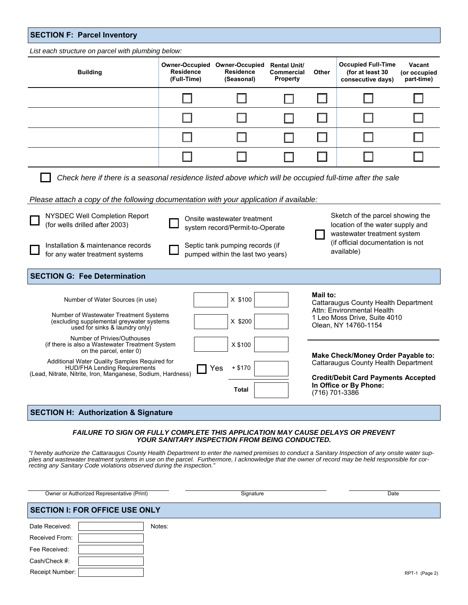*List each structure on parcel with plumbing below:* 

| <b>Building</b> | <b>Owner-Occupied</b><br>Residence<br>(Full-Time) | <b>Owner-Occupied</b><br>Residence<br>(Seasonal) | <b>Rental Unit/</b><br>Commercial<br><b>Property</b> | Other | <b>Occupied Full-Time</b><br>(for at least 30<br>consecutive days) | Vacant<br>(or occupied<br>part-time) |
|-----------------|---------------------------------------------------|--------------------------------------------------|------------------------------------------------------|-------|--------------------------------------------------------------------|--------------------------------------|
|                 |                                                   |                                                  |                                                      |       |                                                                    |                                      |
|                 |                                                   |                                                  |                                                      |       |                                                                    |                                      |
|                 |                                                   |                                                  |                                                      |       |                                                                    |                                      |
|                 |                                                   |                                                  |                                                      |       |                                                                    |                                      |

*Check here if there is a seasonal residence listed above which will be occupied full-time after the sale* 

*Please attach a copy of the following documentation with your application if available:* 

| NYSDEC Well Completion Report<br>(for wells drilled after 2003)                                                                                     | Onsite wastewater treatment<br>system record/Permit-to-Operate       | Sketch of the parcel showing the<br>location of the water supply and<br>wastewater treatment system |  |
|-----------------------------------------------------------------------------------------------------------------------------------------------------|----------------------------------------------------------------------|-----------------------------------------------------------------------------------------------------|--|
| Installation & maintenance records<br>for any water treatment systems                                                                               | Septic tank pumping records (if<br>pumped within the last two years) | (if official documentation is not<br>available)                                                     |  |
| <b>SECTION G: Fee Determination</b>                                                                                                                 |                                                                      |                                                                                                     |  |
| Number of Water Sources (in use)                                                                                                                    | X \$100                                                              | Mail to:<br>Cattaraugus County Health Department                                                    |  |
| Number of Wastewater Treatment Systems<br>(excluding supplemental greywater systems<br>used for sinks & laundry only)                               | X \$200                                                              | Attn: Environmental Health<br>1 Leo Moss Drive, Suite 4010<br>Olean, NY 14760-1154                  |  |
| Number of Privies/Outhouses<br>(if there is also a Wastewater Treatment System)<br>on the parcel, enter 0)                                          | X \$100                                                              | Make Check/Money Order Payable to:                                                                  |  |
| Additional Water Quality Samples Required for<br><b>HUD/FHA Lending Requirements</b><br>(Lead, Nitrate, Nitrite, Iron, Manganese, Sodium, Hardness) | $+ $170$<br><b>Yes</b>                                               | Cattaraugus County Health Department<br><b>Credit/Debit Card Payments Accepted</b>                  |  |
|                                                                                                                                                     | Total                                                                | In Office or By Phone:<br>(716) 701-3386                                                            |  |

## **SECTION H: Authorization & Signature**

#### *FAILURE TO SIGN OR FULLY COMPLETE THIS APPLICATION MAY CAUSE DELAYS OR PREVENT YOUR SANITARY INSPECTION FROM BEING CONDUCTED.*

*"I hereby authorize the Cattaraugus County Health Department to enter the named premises to conduct a Sanitary Inspection of any onsite water supplies and wastewater treatment systems in use on the parcel. Furthermore, I acknowledge that the owner of record may be held responsible for correcting any Sanitary Code violations observed during the inspection."* 

Owner or Authorized Representative (Print) **Community Community Community Community Community Community Community** 

#### **SECTION I: FOR OFFICE USE ONLY**  Notes:  $\Gamma$ T.

| Date Received:         | Notes |
|------------------------|-------|
| Received From:         |       |
| Fee Received:          |       |
| Cash/Check #:          |       |
| <b>Receipt Number:</b> |       |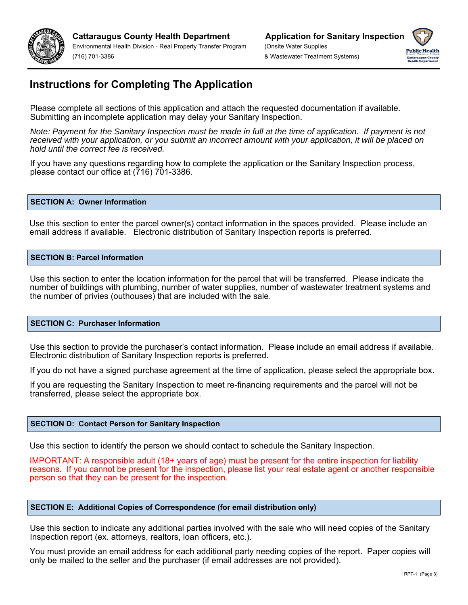



# **Instructions for Completing The Application**

Please complete all sections of this application and attach the requested documentation if available. Submitting an incomplete application may delay your Sanitary Inspection.

*Note: Payment for the Sanitary Inspection must be made in full at the time of application. If payment is not received with your application, or you submit an incorrect amount with your application, it will be placed on hold until the correct fee is received.* 

If you have any questions regarding how to complete the application or the Sanitary Inspection process, please contact our office at (716) 701-3386.

#### **SECTION A: Owner Information**

Use this section to enter the parcel owner(s) contact information in the spaces provided. Please include an email address if available. Electronic distribution of Sanitary Inspection reports is preferred.

#### **SECTION B: Parcel Information**

Use this section to enter the location information for the parcel that will be transferred. Please indicate the number of buildings with plumbing, number of water supplies, number of wastewater treatment systems and the number of privies (outhouses) that are included with the sale.

#### **SECTION C: Purchaser Information**

Use this section to provide the purchaser's contact information. Please include an email address if available. Electronic distribution of Sanitary Inspection reports is preferred.

If you do not have a signed purchase agreement at the time of application, please select the appropriate box.

If you are requesting the Sanitary Inspection to meet re-financing requirements and the parcel will not be transferred, please select the appropriate box.

#### **SECTION D: Contact Person for Sanitary Inspection**

Use this section to identify the person we should contact to schedule the Sanitary Inspection.

IMPORTANT: A responsible adult (18+ years of age) must be present for the entire inspection for liability reasons. If you cannot be present for the inspection, please list your real estate agent or another responsible person so that they can be present for the inspection.

#### **SECTION E: Additional Copies of Correspondence (for email distribution only)**

Use this section to indicate any additional parties involved with the sale who will need copies of the Sanitary Inspection report (ex. attorneys, realtors, loan officers, etc.).

You must provide an email address for each additional party needing copies of the report. Paper copies will only be mailed to the seller and the purchaser (if email addresses are not provided).